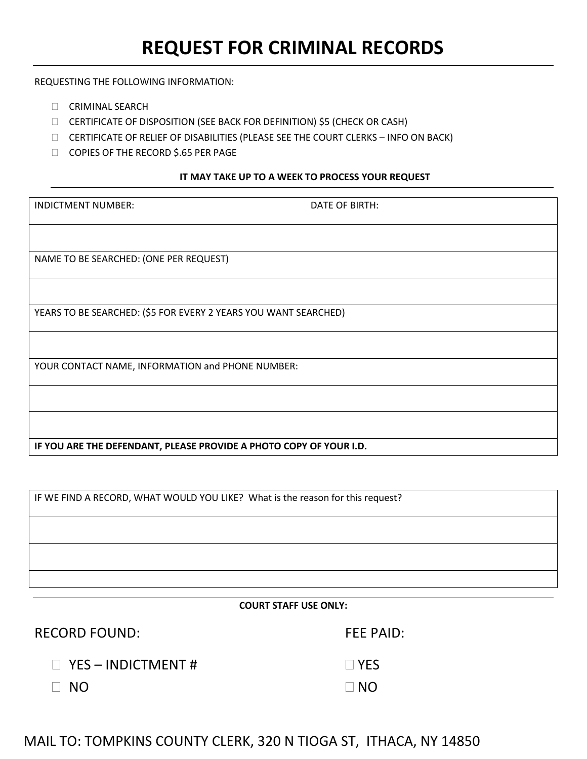REQUESTING THE FOLLOWING INFORMATION:

- CRIMINAL SEARCH
- CERTIFICATE OF DISPOSITION (SEE BACK FOR DEFINITION) \$5 (CHECK OR CASH)
- CERTIFICATE OF RELIEF OF DISABILITIES (PLEASE SEE THE COURT CLERKS INFO ON BACK)
- □ COPIES OF THE RECORD \$.65 PER PAGE

## **IT MAY TAKE UP TO A WEEK TO PROCESS YOUR REQUEST**

| <b>INDICTMENT NUMBER:</b>                                          | DATE OF BIRTH: |  |
|--------------------------------------------------------------------|----------------|--|
|                                                                    |                |  |
|                                                                    |                |  |
|                                                                    |                |  |
| NAME TO BE SEARCHED: (ONE PER REQUEST)                             |                |  |
|                                                                    |                |  |
|                                                                    |                |  |
|                                                                    |                |  |
| YEARS TO BE SEARCHED: (\$5 FOR EVERY 2 YEARS YOU WANT SEARCHED)    |                |  |
|                                                                    |                |  |
|                                                                    |                |  |
|                                                                    |                |  |
| YOUR CONTACT NAME, INFORMATION and PHONE NUMBER:                   |                |  |
|                                                                    |                |  |
|                                                                    |                |  |
|                                                                    |                |  |
|                                                                    |                |  |
|                                                                    |                |  |
| IF YOU ARE THE DEFENDANT, PLEASE PROVIDE A PHOTO COPY OF YOUR I.D. |                |  |
|                                                                    |                |  |

| IF WE FIND A RECORD, WHAT WOULD YOU LIKE? What is the reason for this request? |  |  |
|--------------------------------------------------------------------------------|--|--|
|                                                                                |  |  |
|                                                                                |  |  |
|                                                                                |  |  |

#### **COURT STAFF USE ONLY:**

RECORD FOUND: FEE PAID:

 $\Box$  NO

 $\Box$  YES – INDICTMENT #  $\Box$  YES

 $\Box$  NO  $\Box$  NO

# MAIL TO: TOMPKINS COUNTY CLERK, 320 N TIOGA ST, ITHACA, NY 14850